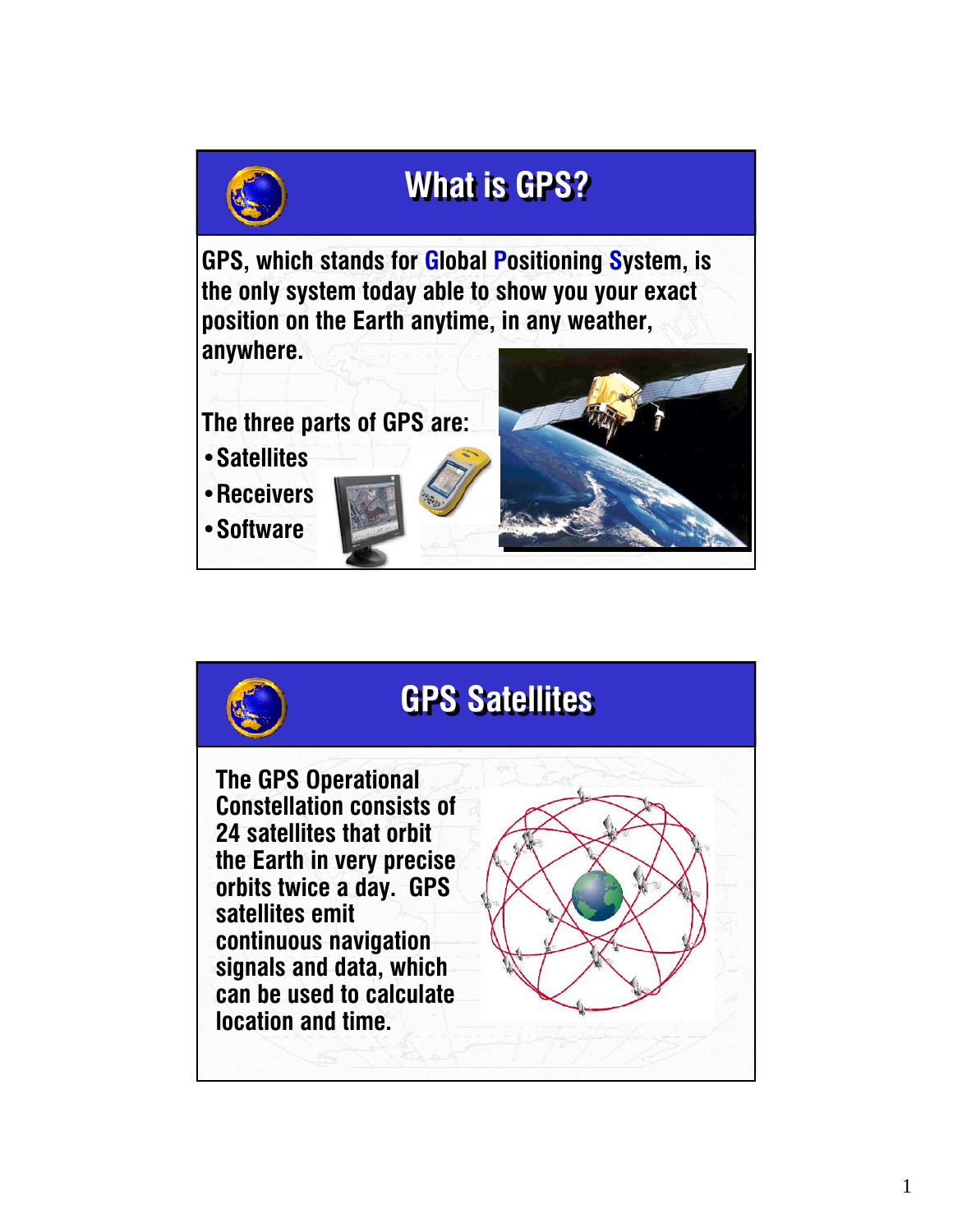

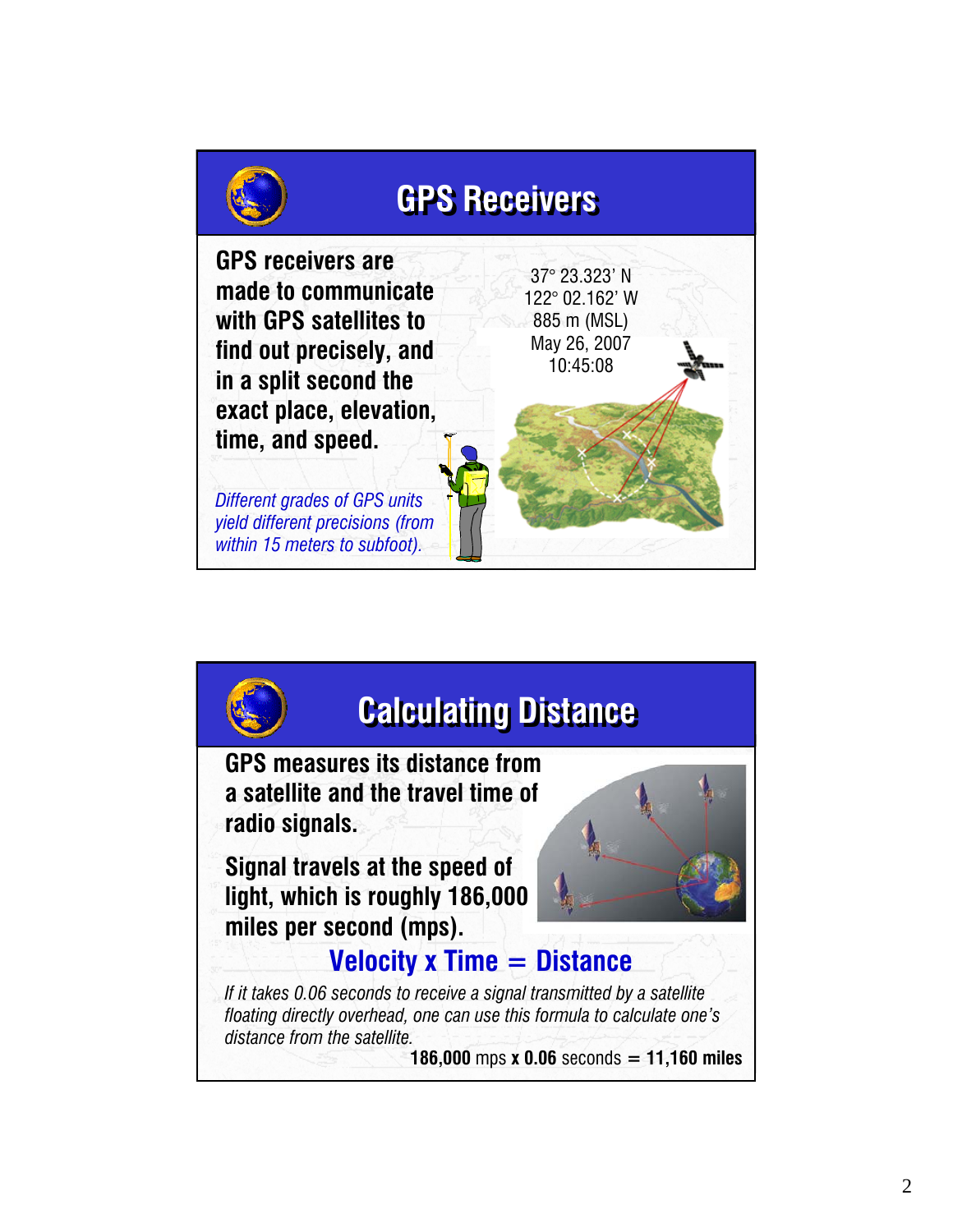

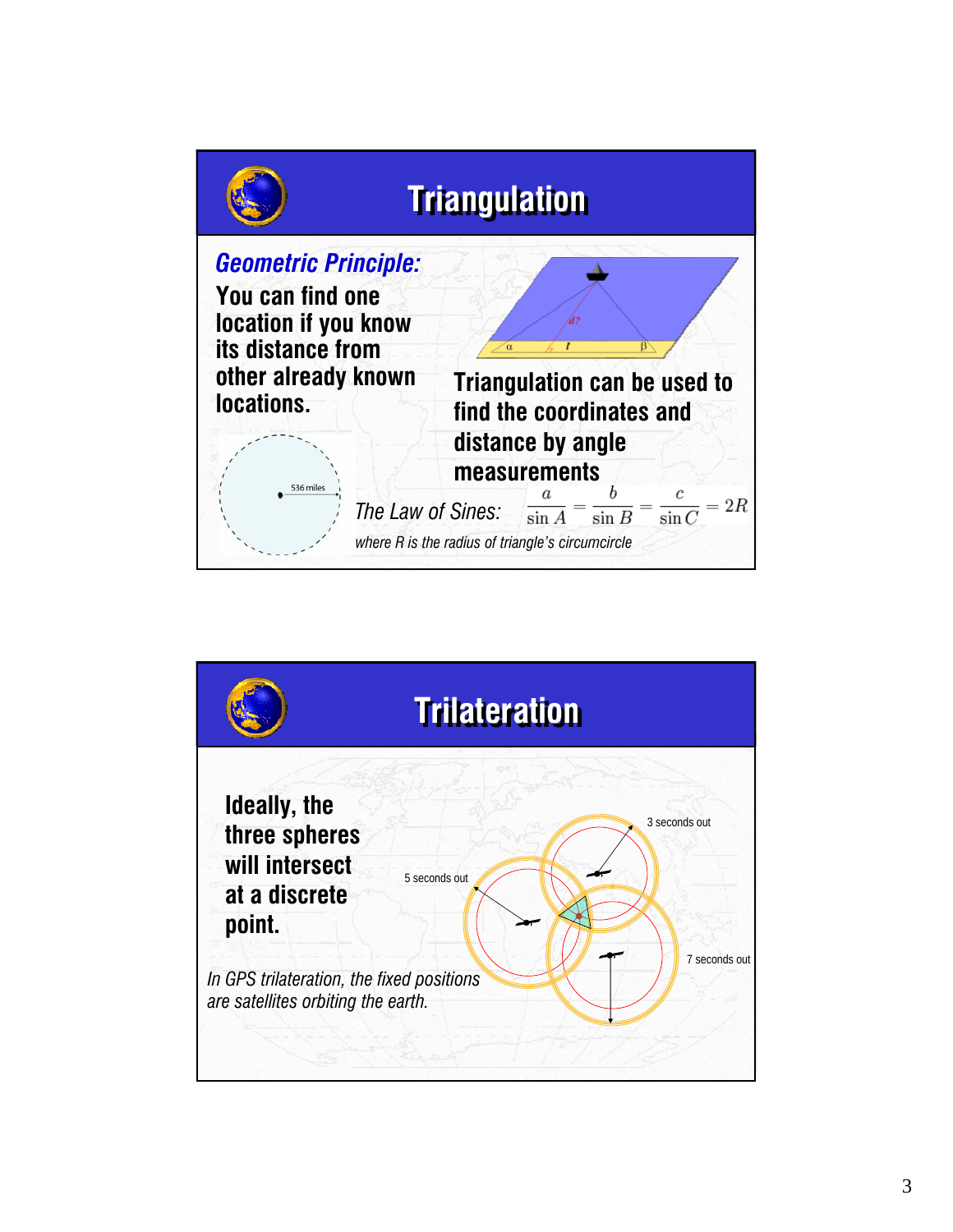

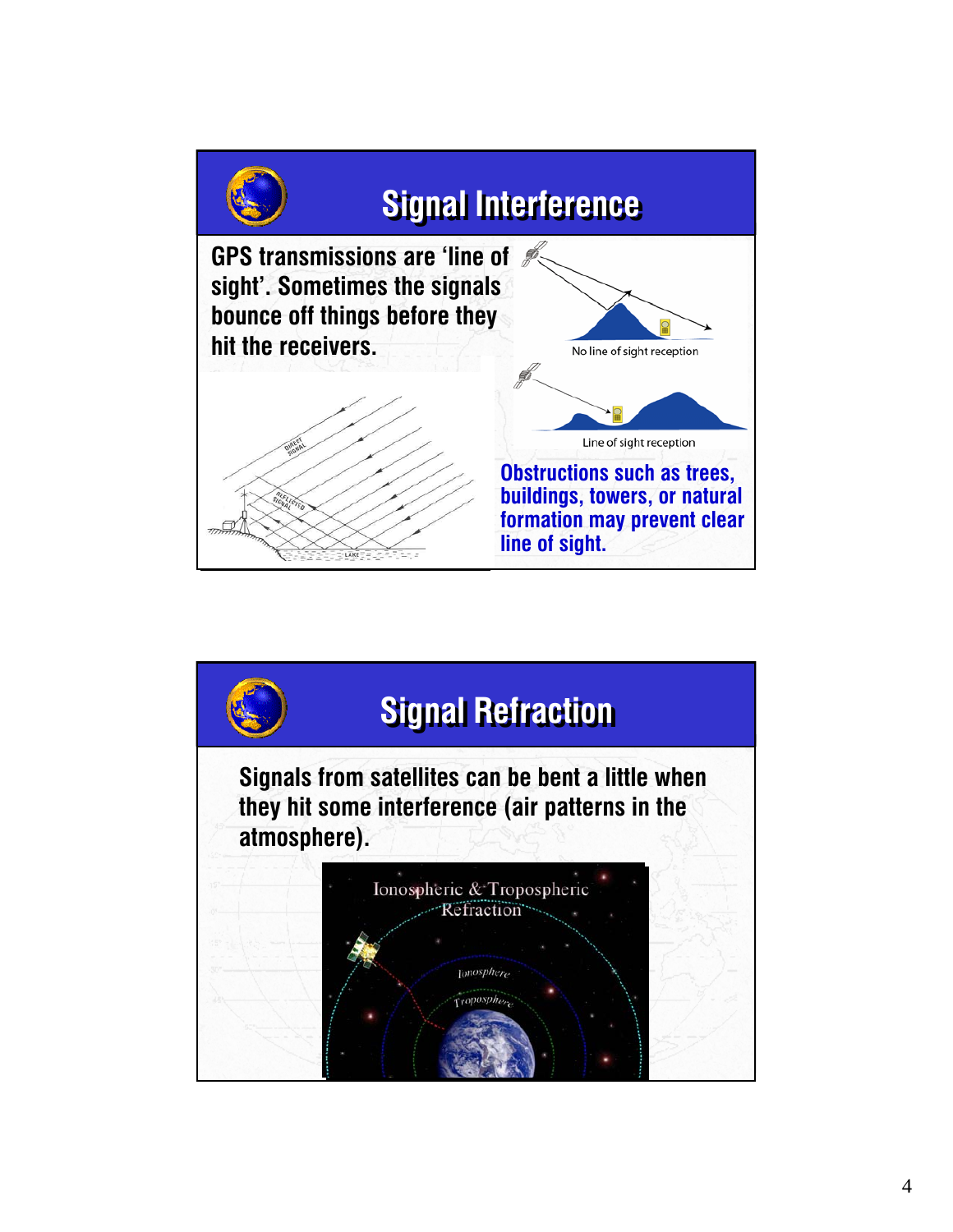

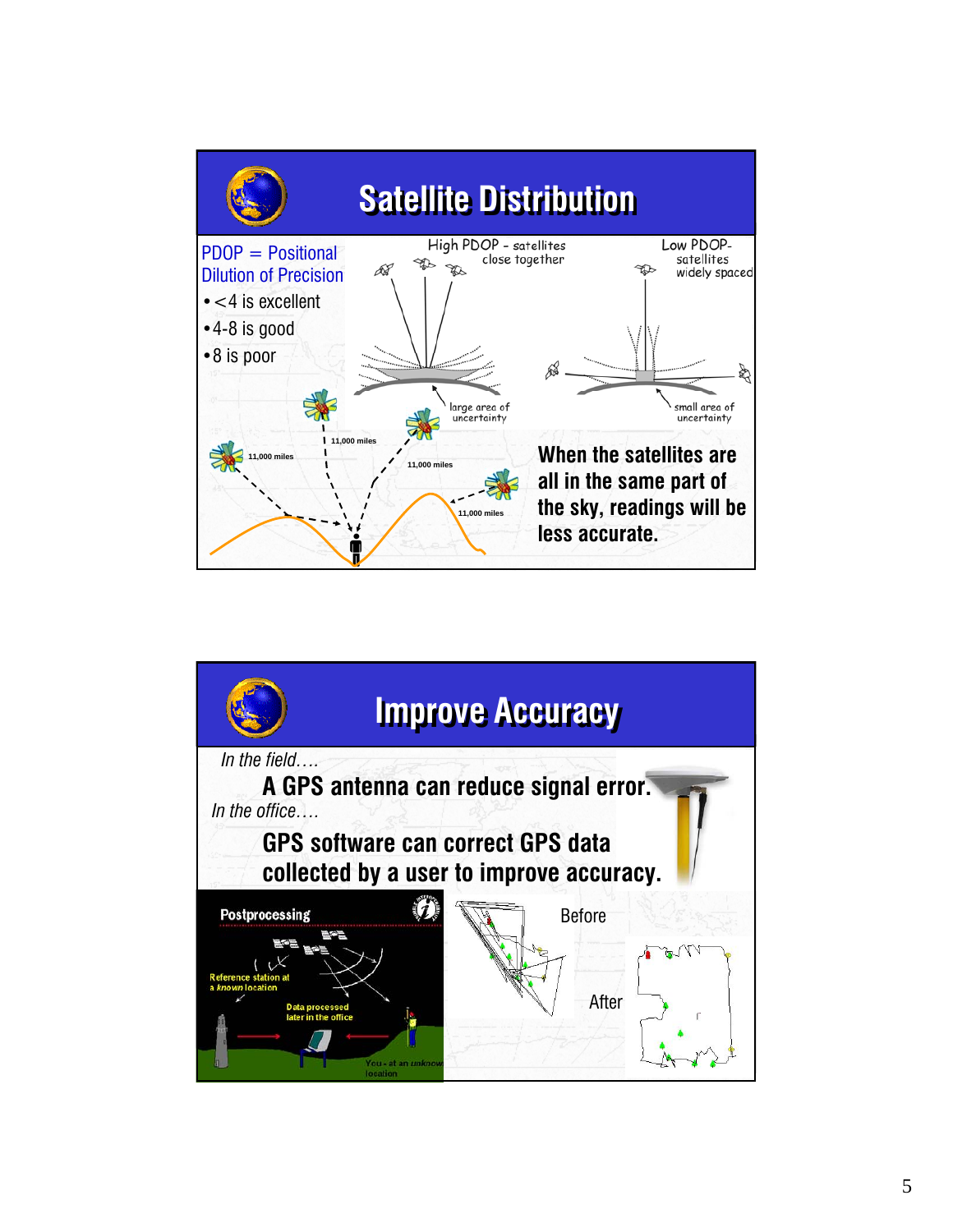

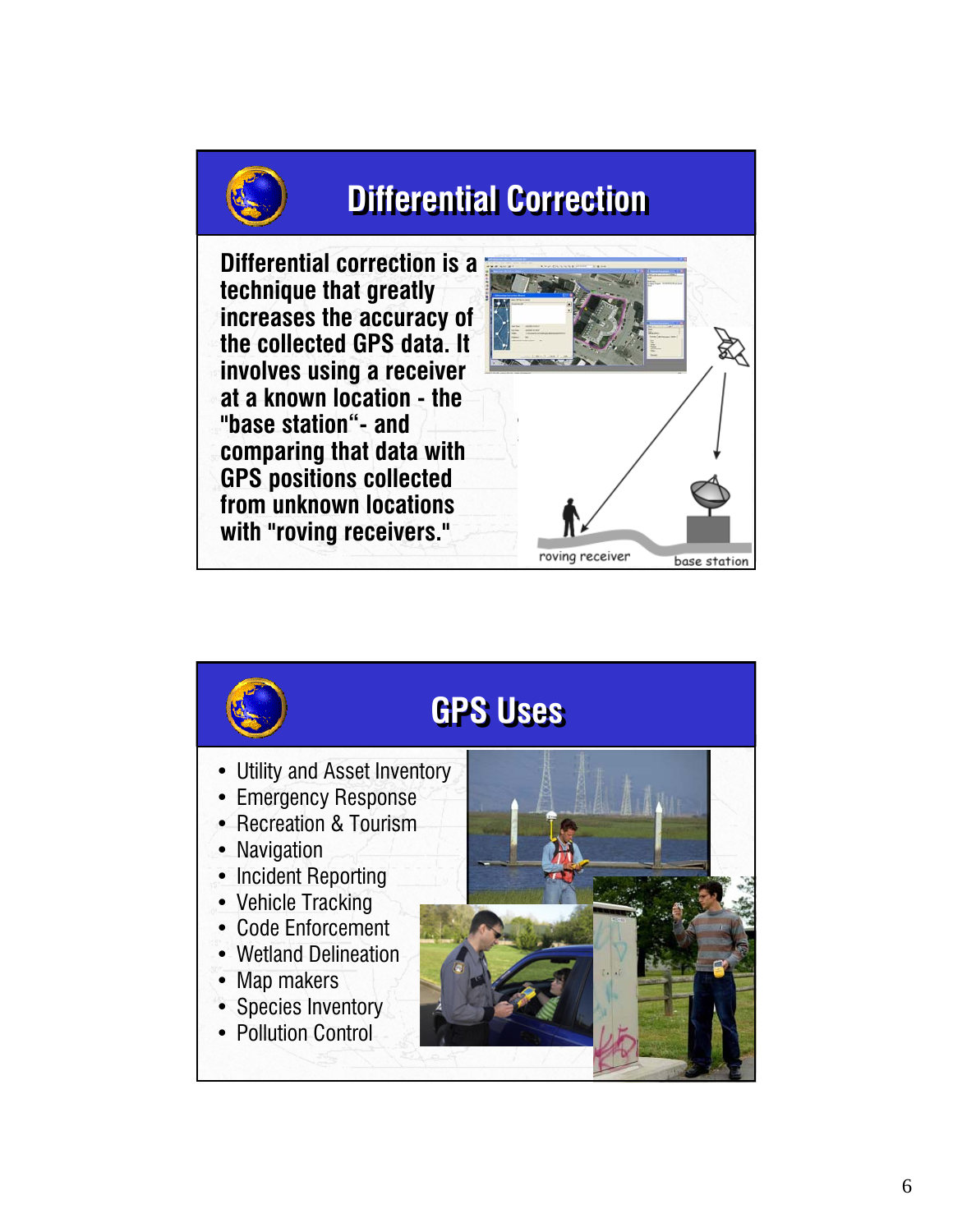## **Differential Correction Differential Correction**



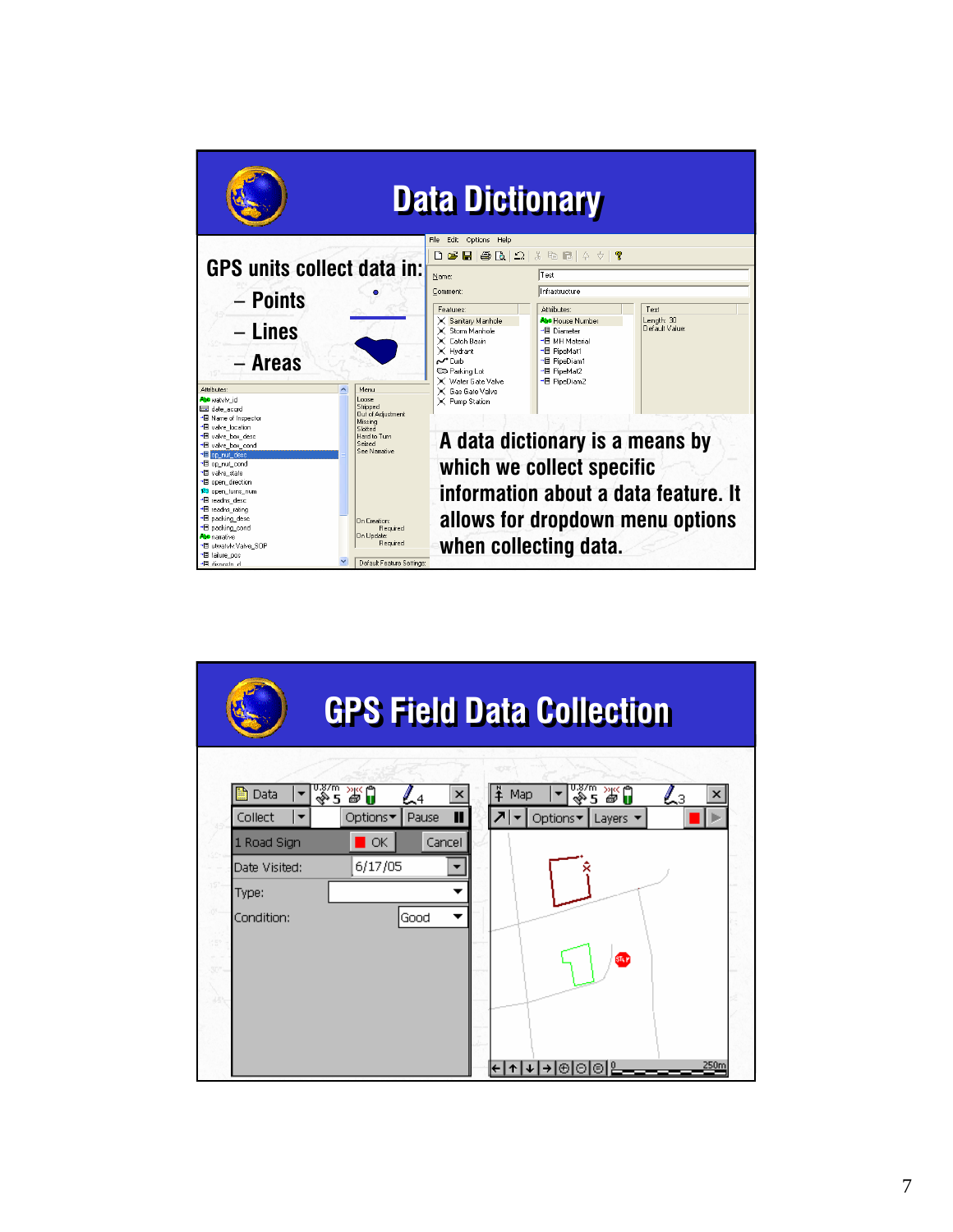